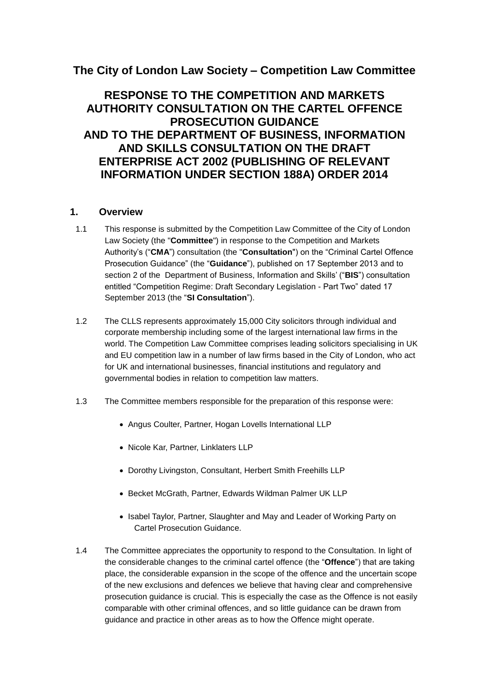# **The City of London Law Society – Competition Law Committee**

# **RESPONSE TO THE COMPETITION AND MARKETS AUTHORITY CONSULTATION ON THE CARTEL OFFENCE PROSECUTION GUIDANCE AND TO THE DEPARTMENT OF BUSINESS, INFORMATION AND SKILLS CONSULTATION ON THE DRAFT ENTERPRISE ACT 2002 (PUBLISHING OF RELEVANT INFORMATION UNDER SECTION 188A) ORDER 2014**

## **1. Overview**

- 1.1 This response is submitted by the Competition Law Committee of the City of London Law Society (the "**Committee**") in response to the Competition and Markets Authority's ("**CMA**") consultation (the "**Consultation**") on the "Criminal Cartel Offence Prosecution Guidance" (the "**Guidance**"), published on 17 September 2013 and to section 2 of the Department of Business, Information and Skills' ("**BIS**") consultation entitled "Competition Regime: Draft Secondary Legislation - Part Two" dated 17 September 2013 (the "**SI Consultation**").
- 1.2 The CLLS represents approximately 15,000 City solicitors through individual and corporate membership including some of the largest international law firms in the world. The Competition Law Committee comprises leading solicitors specialising in UK and EU competition law in a number of law firms based in the City of London, who act for UK and international businesses, financial institutions and regulatory and governmental bodies in relation to competition law matters.
- 1.3 The Committee members responsible for the preparation of this response were:
	- Angus Coulter, Partner, Hogan Lovells International LLP
	- Nicole Kar, Partner, Linklaters LLP
	- Dorothy Livingston, Consultant, Herbert Smith Freehills LLP
	- Becket McGrath, Partner, Edwards Wildman Palmer UK LLP
	- Isabel Taylor, Partner, Slaughter and May and Leader of Working Party on Cartel Prosecution Guidance.
- 1.4 The Committee appreciates the opportunity to respond to the Consultation. In light of the considerable changes to the criminal cartel offence (the "**Offence**") that are taking place, the considerable expansion in the scope of the offence and the uncertain scope of the new exclusions and defences we believe that having clear and comprehensive prosecution guidance is crucial. This is especially the case as the Offence is not easily comparable with other criminal offences, and so little guidance can be drawn from guidance and practice in other areas as to how the Offence might operate.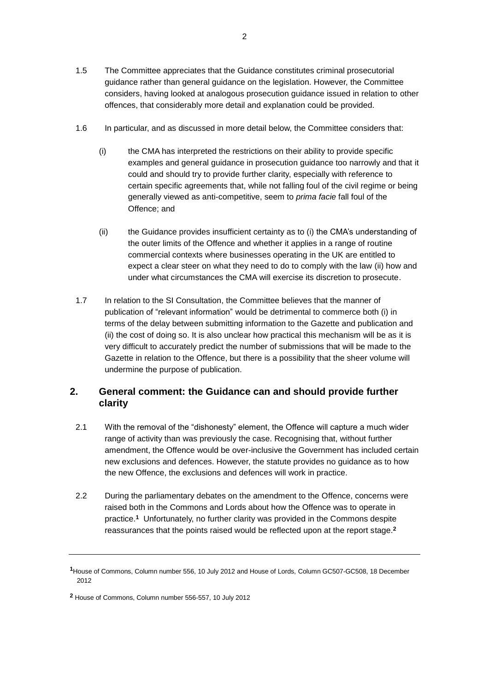- 1.5 The Committee appreciates that the Guidance constitutes criminal prosecutorial guidance rather than general guidance on the legislation. However, the Committee considers, having looked at analogous prosecution guidance issued in relation to other offences, that considerably more detail and explanation could be provided.
- 1.6 In particular, and as discussed in more detail below, the Committee considers that:
	- (i) the CMA has interpreted the restrictions on their ability to provide specific examples and general guidance in prosecution guidance too narrowly and that it could and should try to provide further clarity, especially with reference to certain specific agreements that, while not falling foul of the civil regime or being generally viewed as anti-competitive, seem to *prima facie* fall foul of the Offence; and
	- (ii) the Guidance provides insufficient certainty as to (i) the CMA's understanding of the outer limits of the Offence and whether it applies in a range of routine commercial contexts where businesses operating in the UK are entitled to expect a clear steer on what they need to do to comply with the law (ii) how and under what circumstances the CMA will exercise its discretion to prosecute.
- 1.7 In relation to the SI Consultation, the Committee believes that the manner of publication of "relevant information" would be detrimental to commerce both (i) in terms of the delay between submitting information to the Gazette and publication and (ii) the cost of doing so. It is also unclear how practical this mechanism will be as it is very difficult to accurately predict the number of submissions that will be made to the Gazette in relation to the Offence, but there is a possibility that the sheer volume will undermine the purpose of publication.

## **2. General comment: the Guidance can and should provide further clarity**

- 2.1 With the removal of the "dishonesty" element, the Offence will capture a much wider range of activity than was previously the case. Recognising that, without further amendment, the Offence would be over-inclusive the Government has included certain new exclusions and defences. However, the statute provides no guidance as to how the new Offence, the exclusions and defences will work in practice.
- 2.2 During the parliamentary debates on the amendment to the Offence, concerns were raised both in the Commons and Lords about how the Offence was to operate in practice.**<sup>1</sup>** Unfortunately, no further clarity was provided in the Commons despite reassurances that the points raised would be reflected upon at the report stage.**<sup>2</sup>**

**<sup>1</sup>**House of Commons, Column number 556, 10 July 2012 and House of Lords, Column GC507-GC508, 18 December 2012

**<sup>2</sup>** House of Commons, Column number 556-557, 10 July 2012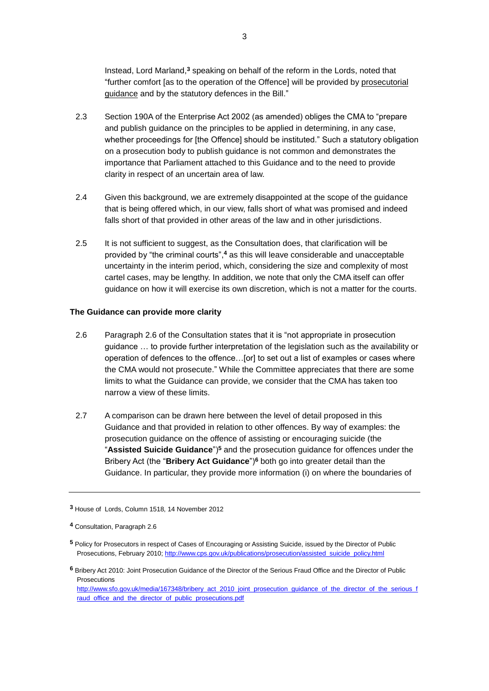Instead, Lord Marland,**<sup>3</sup>** speaking on behalf of the reform in the Lords, noted that "further comfort [as to the operation of the Offence] will be provided by prosecutorial guidance and by the statutory defences in the Bill."

- 2.3 Section 190A of the Enterprise Act 2002 (as amended) obliges the CMA to "prepare and publish guidance on the principles to be applied in determining, in any case, whether proceedings for [the Offence] should be instituted." Such a statutory obligation on a prosecution body to publish guidance is not common and demonstrates the importance that Parliament attached to this Guidance and to the need to provide clarity in respect of an uncertain area of law.
- 2.4 Given this background, we are extremely disappointed at the scope of the guidance that is being offered which, in our view, falls short of what was promised and indeed falls short of that provided in other areas of the law and in other jurisdictions.
- 2.5 It is not sufficient to suggest, as the Consultation does, that clarification will be provided by "the criminal courts", **<sup>4</sup>** as this will leave considerable and unacceptable uncertainty in the interim period, which, considering the size and complexity of most cartel cases, may be lengthy. In addition, we note that only the CMA itself can offer guidance on how it will exercise its own discretion, which is not a matter for the courts.

#### **The Guidance can provide more clarity**

- 2.6 Paragraph 2.6 of the Consultation states that it is "not appropriate in prosecution guidance … to provide further interpretation of the legislation such as the availability or operation of defences to the offence…[or] to set out a list of examples or cases where the CMA would not prosecute." While the Committee appreciates that there are some limits to what the Guidance can provide, we consider that the CMA has taken too narrow a view of these limits.
- 2.7 A comparison can be drawn here between the level of detail proposed in this Guidance and that provided in relation to other offences. By way of examples: the prosecution guidance on the offence of assisting or encouraging suicide (the "**Assisted Suicide Guidance**")**<sup>5</sup>** and the prosecution guidance for offences under the Bribery Act (the "**Bribery Act Guidance**")**<sup>6</sup>** both go into greater detail than the Guidance. In particular, they provide more information (i) on where the boundaries of

**<sup>3</sup>** House of Lords, Column 1518, 14 November 2012

**<sup>4</sup>** Consultation, Paragraph 2.6

**<sup>5</sup>** Policy for Prosecutors in respect of Cases of Encouraging or Assisting Suicide, issued by the Director of Public Prosecutions, February 2010[; http://www.cps.gov.uk/publications/prosecution/assisted\\_suicide\\_policy.html](http://www.cps.gov.uk/publications/prosecution/assisted_suicide_policy.html)

**<sup>6</sup>** Bribery Act 2010: Joint Prosecution Guidance of the Director of the Serious Fraud Office and the Director of Public **Prosecutions** 

[http://www.sfo.gov.uk/media/167348/bribery\\_act\\_2010\\_joint\\_prosecution\\_guidance\\_of\\_the\\_director\\_of\\_the\\_serious\\_f](http://www.sfo.gov.uk/media/167348/bribery_act_2010_joint_prosecution_guidance_of_the_director_of_the_serious_fraud_office_and_the_director_of_public_prosecutions.pdf) [raud\\_office\\_and\\_the\\_director\\_of\\_public\\_prosecutions.pdf](http://www.sfo.gov.uk/media/167348/bribery_act_2010_joint_prosecution_guidance_of_the_director_of_the_serious_fraud_office_and_the_director_of_public_prosecutions.pdf)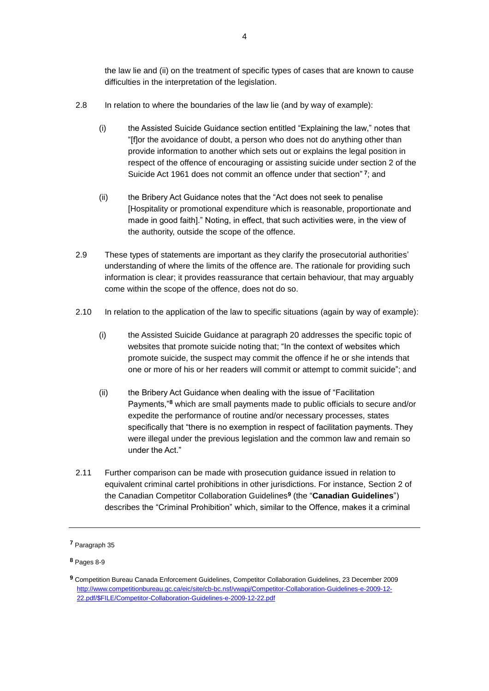the law lie and (ii) on the treatment of specific types of cases that are known to cause difficulties in the interpretation of the legislation.

- 2.8 In relation to where the boundaries of the law lie (and by way of example):
	- (i) the Assisted Suicide Guidance section entitled "Explaining the law," notes that "[f]or the avoidance of doubt, a person who does not do anything other than provide information to another which sets out or explains the legal position in respect of the offence of encouraging or assisting suicide under section 2 of the Suicide Act 1961 does not commit an offence under that section" **7** ; and
	- (ii) the Bribery Act Guidance notes that the "Act does not seek to penalise [Hospitality or promotional expenditure which is reasonable, proportionate and made in good faith]." Noting, in effect, that such activities were, in the view of the authority, outside the scope of the offence.
- 2.9 These types of statements are important as they clarify the prosecutorial authorities' understanding of where the limits of the offence are. The rationale for providing such information is clear; it provides reassurance that certain behaviour, that may arguably come within the scope of the offence, does not do so.
- 2.10 In relation to the application of the law to specific situations (again by way of example):
	- (i) the Assisted Suicide Guidance at paragraph 20 addresses the specific topic of websites that promote suicide noting that; "In the context of websites which promote suicide, the suspect may commit the offence if he or she intends that one or more of his or her readers will commit or attempt to commit suicide"; and
	- (ii) the Bribery Act Guidance when dealing with the issue of "Facilitation Payments,"**<sup>8</sup>** which are small payments made to public officials to secure and/or expedite the performance of routine and/or necessary processes, states specifically that "there is no exemption in respect of facilitation payments. They were illegal under the previous legislation and the common law and remain so under the Act."
- 2.11 Further comparison can be made with prosecution guidance issued in relation to equivalent criminal cartel prohibitions in other jurisdictions. For instance, Section 2 of the Canadian Competitor Collaboration Guidelines**<sup>9</sup>** (the "**Canadian Guidelines**") describes the "Criminal Prohibition" which, similar to the Offence, makes it a criminal

**<sup>7</sup>** Paragraph 35

**<sup>8</sup>** Pages 8-9

**<sup>9</sup>** Competition Bureau Canada Enforcement Guidelines, Competitor Collaboration Guidelines, 23 December 2009 [http://www.competitionbureau.gc.ca/eic/site/cb-bc.nsf/vwapj/Competitor-Collaboration-Guidelines-e-2009-12-](http://www.competitionbureau.gc.ca/eic/site/cb-bc.nsf/vwapj/Competitor-Collaboration-Guidelines-e-2009-12-22.pdf/$FILE/Competitor-Collaboration-Guidelines-e-2009-12-22.pdf) [22.pdf/\\$FILE/Competitor-Collaboration-Guidelines-e-2009-12-22.pdf](http://www.competitionbureau.gc.ca/eic/site/cb-bc.nsf/vwapj/Competitor-Collaboration-Guidelines-e-2009-12-22.pdf/$FILE/Competitor-Collaboration-Guidelines-e-2009-12-22.pdf)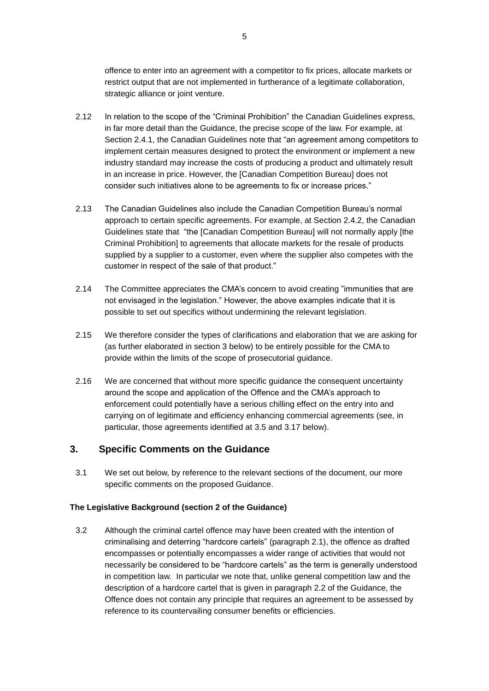offence to enter into an agreement with a competitor to fix prices, allocate markets or restrict output that are not implemented in furtherance of a legitimate collaboration, strategic alliance or joint venture.

- 2.12 In relation to the scope of the "Criminal Prohibition" the Canadian Guidelines express, in far more detail than the Guidance, the precise scope of the law. For example, at Section 2.4.1, the Canadian Guidelines note that "an agreement among competitors to implement certain measures designed to protect the environment or implement a new industry standard may increase the costs of producing a product and ultimately result in an increase in price. However, the [Canadian Competition Bureau] does not consider such initiatives alone to be agreements to fix or increase prices."
- 2.13 The Canadian Guidelines also include the Canadian Competition Bureau's normal approach to certain specific agreements. For example, at Section 2.4.2, the Canadian Guidelines state that "the [Canadian Competition Bureau] will not normally apply [the Criminal Prohibition] to agreements that allocate markets for the resale of products supplied by a supplier to a customer, even where the supplier also competes with the customer in respect of the sale of that product."
- 2.14 The Committee appreciates the CMA's concern to avoid creating "immunities that are not envisaged in the legislation." However, the above examples indicate that it is possible to set out specifics without undermining the relevant legislation.
- 2.15 We therefore consider the types of clarifications and elaboration that we are asking for (as further elaborated in section 3 below) to be entirely possible for the CMA to provide within the limits of the scope of prosecutorial guidance.
- 2.16 We are concerned that without more specific guidance the consequent uncertainty around the scope and application of the Offence and the CMA's approach to enforcement could potentially have a serious chilling effect on the entry into and carrying on of legitimate and efficiency enhancing commercial agreements (see, in particular, those agreements identified at [3.5](#page-5-0) and [3.17](#page-10-0) below).

## **3. Specific Comments on the Guidance**

3.1 We set out below, by reference to the relevant sections of the document, our more specific comments on the proposed Guidance.

#### **The Legislative Background (section 2 of the Guidance)**

3.2 Although the criminal cartel offence may have been created with the intention of criminalising and deterring "hardcore cartels" (paragraph 2.1), the offence as drafted encompasses or potentially encompasses a wider range of activities that would not necessarily be considered to be "hardcore cartels" as the term is generally understood in competition law. In particular we note that, unlike general competition law and the description of a hardcore cartel that is given in paragraph 2.2 of the Guidance, the Offence does not contain any principle that requires an agreement to be assessed by reference to its countervailing consumer benefits or efficiencies.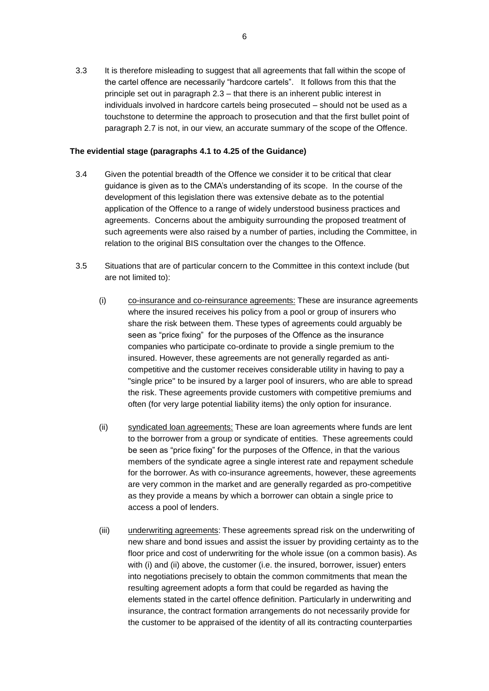3.3 It is therefore misleading to suggest that all agreements that fall within the scope of the cartel offence are necessarily "hardcore cartels". It follows from this that the principle set out in paragraph 2.3 – that there is an inherent public interest in individuals involved in hardcore cartels being prosecuted – should not be used as a touchstone to determine the approach to prosecution and that the first bullet point of paragraph 2.7 is not, in our view, an accurate summary of the scope of the Offence.

#### **The evidential stage (paragraphs 4.1 to 4.25 of the Guidance)**

- 3.4 Given the potential breadth of the Offence we consider it to be critical that clear guidance is given as to the CMA's understanding of its scope. In the course of the development of this legislation there was extensive debate as to the potential application of the Offence to a range of widely understood business practices and agreements. Concerns about the ambiguity surrounding the proposed treatment of such agreements were also raised by a number of parties, including the Committee, in relation to the original BIS consultation over the changes to the Offence.
- <span id="page-5-0"></span>3.5 Situations that are of particular concern to the Committee in this context include (but are not limited to):
	- (i) co-insurance and co-reinsurance agreements: These are insurance agreements where the insured receives his policy from a pool or group of insurers who share the risk between them. These types of agreements could arguably be seen as "price fixing" for the purposes of the Offence as the insurance companies who participate co-ordinate to provide a single premium to the insured. However, these agreements are not generally regarded as anticompetitive and the customer receives considerable utility in having to pay a "single price" to be insured by a larger pool of insurers, who are able to spread the risk. These agreements provide customers with competitive premiums and often (for very large potential liability items) the only option for insurance.
	- (ii) syndicated loan agreements: These are loan agreements where funds are lent to the borrower from a group or syndicate of entities. These agreements could be seen as "price fixing" for the purposes of the Offence, in that the various members of the syndicate agree a single interest rate and repayment schedule for the borrower. As with co-insurance agreements, however, these agreements are very common in the market and are generally regarded as pro-competitive as they provide a means by which a borrower can obtain a single price to access a pool of lenders.
	- (iii) underwriting agreements: These agreements spread risk on the underwriting of new share and bond issues and assist the issuer by providing certainty as to the floor price and cost of underwriting for the whole issue (on a common basis). As with (i) and (ii) above, the customer (i.e. the insured, borrower, issuer) enters into negotiations precisely to obtain the common commitments that mean the resulting agreement adopts a form that could be regarded as having the elements stated in the cartel offence definition. Particularly in underwriting and insurance, the contract formation arrangements do not necessarily provide for the customer to be appraised of the identity of all its contracting counterparties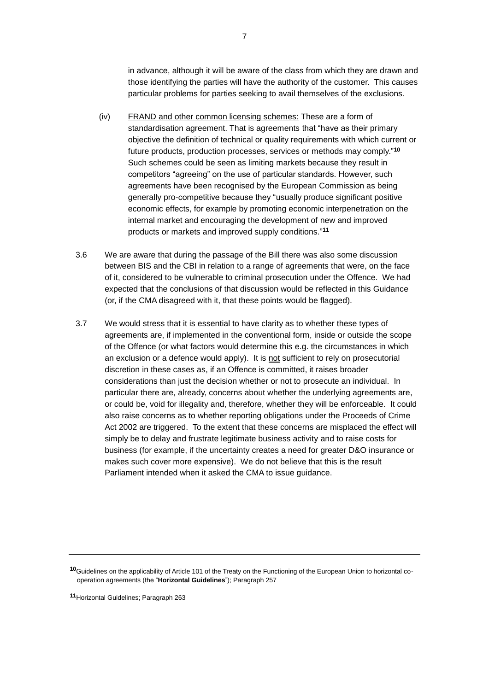in advance, although it will be aware of the class from which they are drawn and those identifying the parties will have the authority of the customer. This causes particular problems for parties seeking to avail themselves of the exclusions.

- (iv) FRAND and other common licensing schemes: These are a form of standardisation agreement. That is agreements that "have as their primary objective the definition of technical or quality requirements with which current or future products, production processes, services or methods may comply."**<sup>10</sup>** Such schemes could be seen as limiting markets because they result in competitors "agreeing" on the use of particular standards. However, such agreements have been recognised by the European Commission as being generally pro-competitive because they "usually produce significant positive economic effects, for example by promoting economic interpenetration on the internal market and encouraging the development of new and improved products or markets and improved supply conditions." **11**
- 3.6 We are aware that during the passage of the Bill there was also some discussion between BIS and the CBI in relation to a range of agreements that were, on the face of it, considered to be vulnerable to criminal prosecution under the Offence. We had expected that the conclusions of that discussion would be reflected in this Guidance (or, if the CMA disagreed with it, that these points would be flagged).
- 3.7 We would stress that it is essential to have clarity as to whether these types of agreements are, if implemented in the conventional form, inside or outside the scope of the Offence (or what factors would determine this e.g. the circumstances in which an exclusion or a defence would apply). It is not sufficient to rely on prosecutorial discretion in these cases as, if an Offence is committed, it raises broader considerations than just the decision whether or not to prosecute an individual. In particular there are, already, concerns about whether the underlying agreements are, or could be, void for illegality and, therefore, whether they will be enforceable. It could also raise concerns as to whether reporting obligations under the Proceeds of Crime Act 2002 are triggered. To the extent that these concerns are misplaced the effect will simply be to delay and frustrate legitimate business activity and to raise costs for business (for example, if the uncertainty creates a need for greater D&O insurance or makes such cover more expensive). We do not believe that this is the result Parliament intended when it asked the CMA to issue guidance.

**<sup>11</sup>**Horizontal Guidelines; Paragraph 263

**<sup>10</sup>**Guidelines on the applicability of Article 101 of the Treaty on the Functioning of the European Union to horizontal cooperation agreements (the "**Horizontal Guidelines**"); Paragraph 257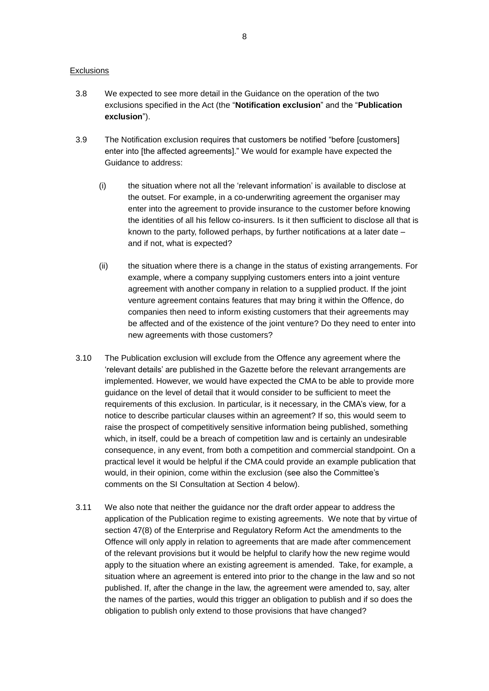#### **Exclusions**

- 3.8 We expected to see more detail in the Guidance on the operation of the two exclusions specified in the Act (the "**Notification exclusion**" and the "**Publication exclusion**").
- 3.9 The Notification exclusion requires that customers be notified "before [customers] enter into [the affected agreements]." We would for example have expected the Guidance to address:
	- (i) the situation where not all the 'relevant information' is available to disclose at the outset. For example, in a co-underwriting agreement the organiser may enter into the agreement to provide insurance to the customer before knowing the identities of all his fellow co-insurers. Is it then sufficient to disclose all that is known to the party, followed perhaps, by further notifications at a later date – and if not, what is expected?
	- (ii) the situation where there is a change in the status of existing arrangements. For example, where a company supplying customers enters into a joint venture agreement with another company in relation to a supplied product. If the joint venture agreement contains features that may bring it within the Offence, do companies then need to inform existing customers that their agreements may be affected and of the existence of the joint venture? Do they need to enter into new agreements with those customers?
- <span id="page-7-0"></span>3.10 The Publication exclusion will exclude from the Offence any agreement where the 'relevant details' are published in the Gazette before the relevant arrangements are implemented. However, we would have expected the CMA to be able to provide more guidance on the level of detail that it would consider to be sufficient to meet the requirements of this exclusion. In particular, is it necessary, in the CMA's view, for a notice to describe particular clauses within an agreement? If so, this would seem to raise the prospect of competitively sensitive information being published, something which, in itself, could be a breach of competition law and is certainly an undesirable consequence, in any event, from both a competition and commercial standpoint. On a practical level it would be helpful if the CMA could provide an example publication that would, in their opinion, come within the exclusion (see also the Committee's comments on the SI Consultation at Section [4](#page-11-0) below).
- <span id="page-7-1"></span>3.11 We also note that neither the guidance nor the draft order appear to address the application of the Publication regime to existing agreements. We note that by virtue of section 47(8) of the Enterprise and Regulatory Reform Act the amendments to the Offence will only apply in relation to agreements that are made after commencement of the relevant provisions but it would be helpful to clarify how the new regime would apply to the situation where an existing agreement is amended. Take, for example, a situation where an agreement is entered into prior to the change in the law and so not published. If, after the change in the law, the agreement were amended to, say, alter the names of the parties, would this trigger an obligation to publish and if so does the obligation to publish only extend to those provisions that have changed?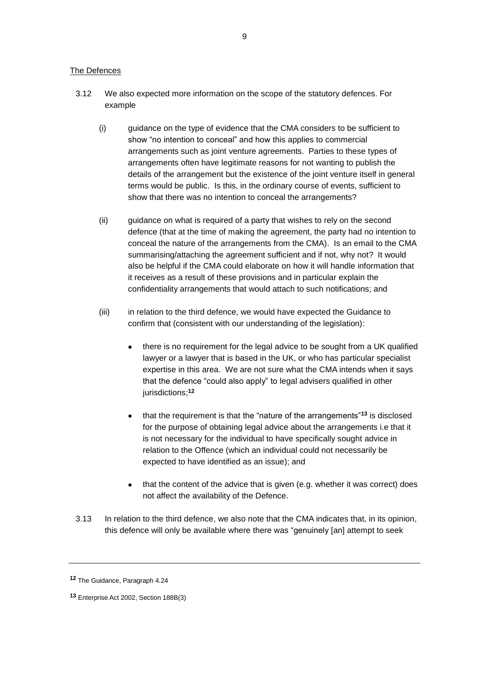#### The Defences

- 3.12 We also expected more information on the scope of the statutory defences. For example
	- (i) guidance on the type of evidence that the CMA considers to be sufficient to show "no intention to conceal" and how this applies to commercial arrangements such as joint venture agreements. Parties to these types of arrangements often have legitimate reasons for not wanting to publish the details of the arrangement but the existence of the joint venture itself in general terms would be public. Is this, in the ordinary course of events, sufficient to show that there was no intention to conceal the arrangements?
	- (ii) guidance on what is required of a party that wishes to rely on the second defence (that at the time of making the agreement, the party had no intention to conceal the nature of the arrangements from the CMA). Is an email to the CMA summarising/attaching the agreement sufficient and if not, why not? It would also be helpful if the CMA could elaborate on how it will handle information that it receives as a result of these provisions and in particular explain the confidentiality arrangements that would attach to such notifications; and
	- (iii) in relation to the third defence, we would have expected the Guidance to confirm that (consistent with our understanding of the legislation):
		- there is no requirement for the legal advice to be sought from a UK qualified lawyer or a lawyer that is based in the UK, or who has particular specialist expertise in this area. We are not sure what the CMA intends when it says that the defence "could also apply" to legal advisers qualified in other jurisdictions; **12**
		- that the requirement is that the "nature of the arrangements"**<sup>13</sup>** is disclosed for the purpose of obtaining legal advice about the arrangements i.e that it is not necessary for the individual to have specifically sought advice in relation to the Offence (which an individual could not necessarily be expected to have identified as an issue); and
		- that the content of the advice that is given (e.g. whether it was correct) does not affect the availability of the Defence.
- 3.13 In relation to the third defence, we also note that the CMA indicates that, in its opinion, this defence will only be available where there was "genuinely [an] attempt to seek

**<sup>12</sup>** The Guidance, Paragraph 4.24

**<sup>13</sup>** Enterprise Act 2002, Section 188B(3)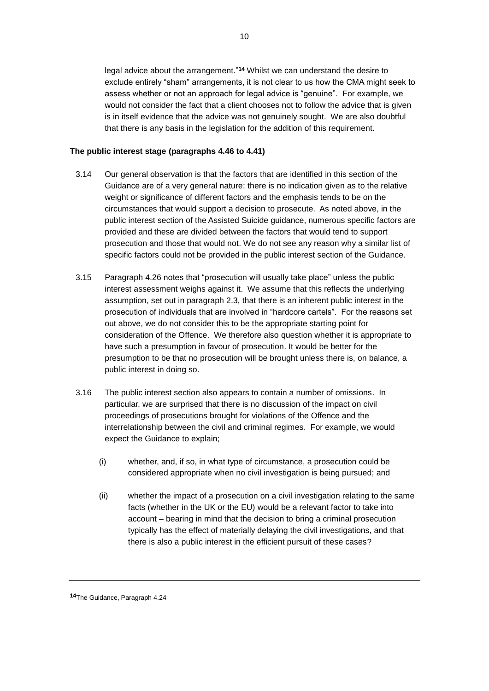legal advice about the arrangement." **<sup>14</sup>** Whilst we can understand the desire to exclude entirely "sham" arrangements, it is not clear to us how the CMA might seek to assess whether or not an approach for legal advice is "genuine". For example, we would not consider the fact that a client chooses not to follow the advice that is given is in itself evidence that the advice was not genuinely sought. We are also doubtful that there is any basis in the legislation for the addition of this requirement.

#### **The public interest stage (paragraphs 4.46 to 4.41)**

- 3.14 Our general observation is that the factors that are identified in this section of the Guidance are of a very general nature: there is no indication given as to the relative weight or significance of different factors and the emphasis tends to be on the circumstances that would support a decision to prosecute. As noted above, in the public interest section of the Assisted Suicide guidance, numerous specific factors are provided and these are divided between the factors that would tend to support prosecution and those that would not. We do not see any reason why a similar list of specific factors could not be provided in the public interest section of the Guidance.
- 3.15 Paragraph 4.26 notes that "prosecution will usually take place" unless the public interest assessment weighs against it. We assume that this reflects the underlying assumption, set out in paragraph 2.3, that there is an inherent public interest in the prosecution of individuals that are involved in "hardcore cartels". For the reasons set out above, we do not consider this to be the appropriate starting point for consideration of the Offence. We therefore also question whether it is appropriate to have such a presumption in favour of prosecution. It would be better for the presumption to be that no prosecution will be brought unless there is, on balance, a public interest in doing so.
- <span id="page-9-0"></span>3.16 The public interest section also appears to contain a number of omissions. In particular, we are surprised that there is no discussion of the impact on civil proceedings of prosecutions brought for violations of the Offence and the interrelationship between the civil and criminal regimes. For example, we would expect the Guidance to explain;
	- (i) whether, and, if so, in what type of circumstance, a prosecution could be considered appropriate when no civil investigation is being pursued; and
	- (ii) whether the impact of a prosecution on a civil investigation relating to the same facts (whether in the UK or the EU) would be a relevant factor to take into account – bearing in mind that the decision to bring a criminal prosecution typically has the effect of materially delaying the civil investigations, and that there is also a public interest in the efficient pursuit of these cases?

**<sup>14</sup>**The Guidance, Paragraph 4.24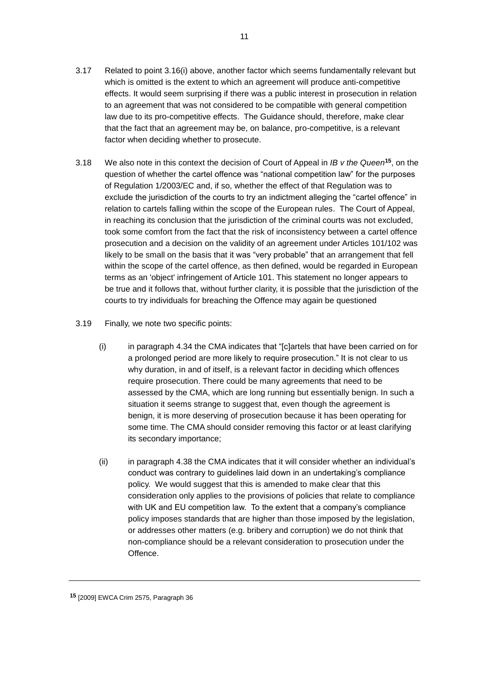- <span id="page-10-0"></span>3.17 Related to point [3.16\(i\)](#page-9-0) above, another factor which seems fundamentally relevant but which is omitted is the extent to which an agreement will produce anti-competitive effects. It would seem surprising if there was a public interest in prosecution in relation to an agreement that was not considered to be compatible with general competition law due to its pro-competitive effects. The Guidance should, therefore, make clear that the fact that an agreement may be, on balance, pro-competitive, is a relevant factor when deciding whether to prosecute.
- 3.18 We also note in this context the decision of Court of Appeal in *IB v the Queen***<sup>15</sup>** , on the question of whether the cartel offence was "national competition law" for the purposes of Regulation 1/2003/EC and, if so, whether the effect of that Regulation was to exclude the jurisdiction of the courts to try an indictment alleging the "cartel offence" in relation to cartels falling within the scope of the European rules. The Court of Appeal, in reaching its conclusion that the jurisdiction of the criminal courts was not excluded, took some comfort from the fact that the risk of inconsistency between a cartel offence prosecution and a decision on the validity of an agreement under Articles 101/102 was likely to be small on the basis that it was "very probable" that an arrangement that fell within the scope of the cartel offence, as then defined, would be regarded in European terms as an 'object' infringement of Article 101. This statement no longer appears to be true and it follows that, without further clarity, it is possible that the jurisdiction of the courts to try individuals for breaching the Offence may again be questioned
- 3.19 Finally, we note two specific points:
	- (i) in paragraph 4.34 the CMA indicates that "[c]artels that have been carried on for a prolonged period are more likely to require prosecution." It is not clear to us why duration, in and of itself, is a relevant factor in deciding which offences require prosecution. There could be many agreements that need to be assessed by the CMA, which are long running but essentially benign. In such a situation it seems strange to suggest that, even though the agreement is benign, it is more deserving of prosecution because it has been operating for some time. The CMA should consider removing this factor or at least clarifying its secondary importance;
	- (ii) in paragraph 4.38 the CMA indicates that it will consider whether an individual's conduct was contrary to guidelines laid down in an undertaking's compliance policy. We would suggest that this is amended to make clear that this consideration only applies to the provisions of policies that relate to compliance with UK and EU competition law. To the extent that a company's compliance policy imposes standards that are higher than those imposed by the legislation, or addresses other matters (e.g. bribery and corruption) we do not think that non-compliance should be a relevant consideration to prosecution under the Offence.

**<sup>15</sup>** [2009] EWCA Crim 2575, Paragraph 36